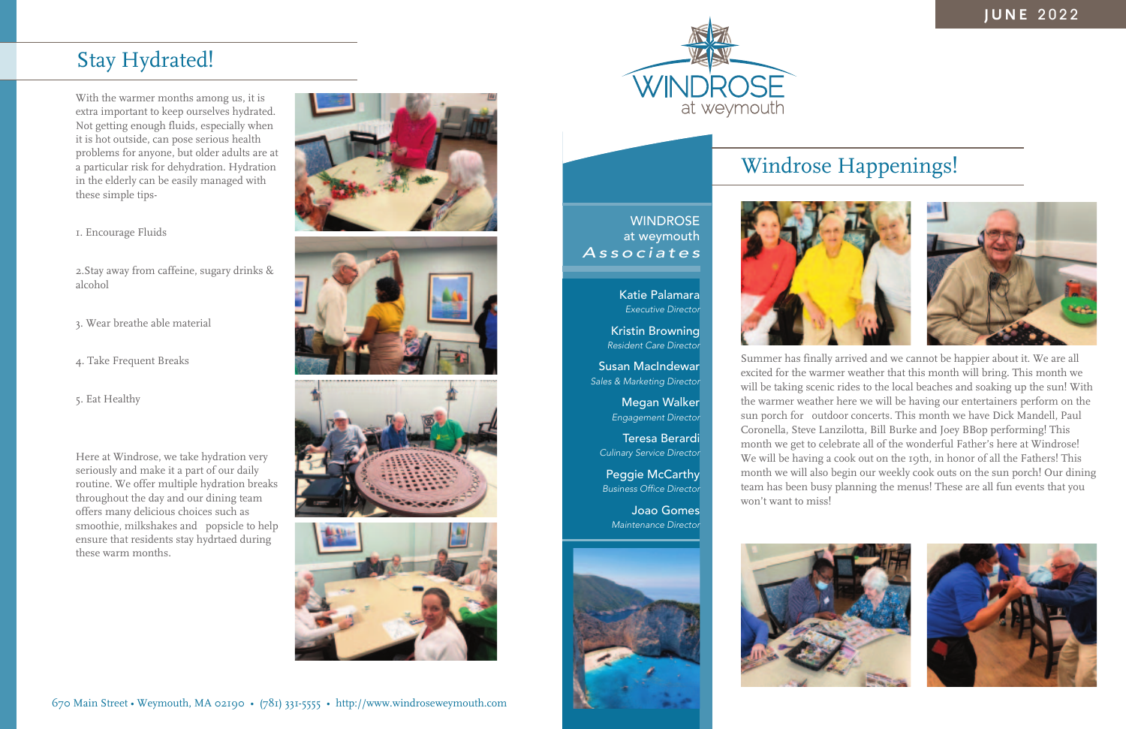



**WINDROSE** at weymouth

With the warmer months among us, it is extra important to keep ourselves hydrated. Not getting enough fluids, especially when it is hot outside, can pose serious health problems for anyone, but older adults are at a particular risk for dehydration. Hydration in the elderly can be easily managed with these simple tips-

1. Encourage Fluids

2.Stay away from caffeine, sugary drinks & alcohol

3. Wear breathe able material

4. Take Frequent Breaks

5. Eat Healthy

Here at Windrose, we take hydration very seriously and make it a part of our daily routine. We offer multiple hydration breaks throughout the day and our dining team offers many delicious choices such as smoothie, milkshakes and popsicle to help ensure that residents stay hydrtaed during these warm months.



*Associates* Katie Palamara *Executive Director*

> Summer has finally arrived and we cannot be happier about it. We are all excited for the warmer weather that this month will bring. This month we will be taking scenic rides to the local beaches and soaking up the sun! With the warmer weather here we will be having our entertainers perform on the sun porch for outdoor concerts. This month we have Dick Mandell, Paul Coronella, Steve Lanzilotta, Bill Burke and Joey BBop performing! This month we get to celebrate all of the wonderful Father's here at Windrose! We will be having a cook out on the 19th, in honor of all the Fathers! This month we will also begin our weekly cook outs on the sun porch! Our dining team has been busy planning the menus! These are all fun events that you won't want to miss!



Kristin Browning *Resident Care Director*

Susan MacIndewar *Sales & Marketing Director*

> Megan Walker *Engagement Director*

Teresa Berardi *Culinary Service Director*

Peggie McCarthy *Business Office Director*

Joao Gomes *Maintenance Director*



### Stay Hydrated!

## Windrose Happenings!